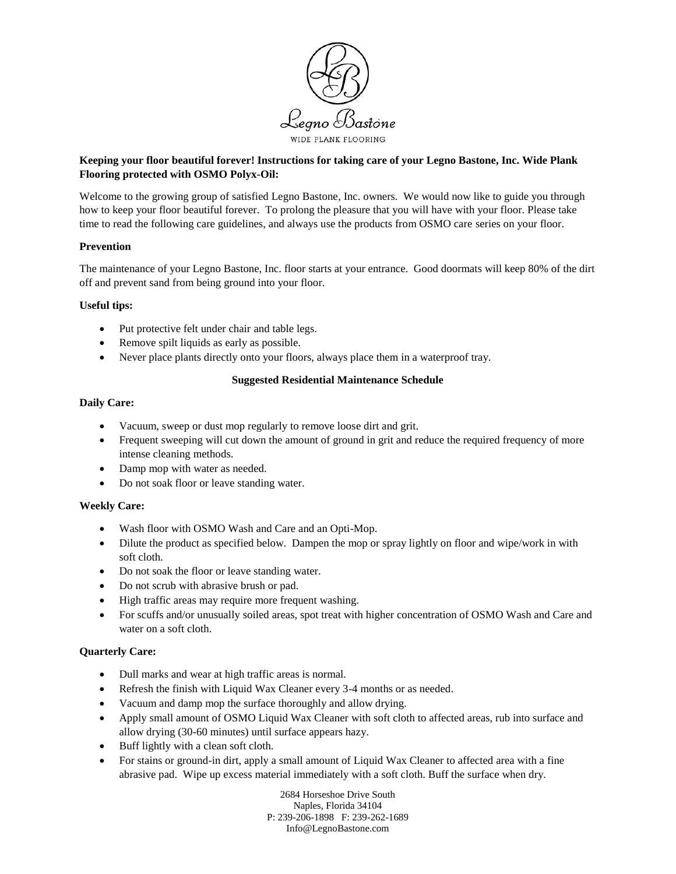

# **Keeping your floor beautiful forever! Instructions for taking care of your Legno Bastone, Inc. Wide Plank Flooring protected with OSMO Polyx-Oil:**

Welcome to the growing group of satisfied Legno Bastone, Inc. owners. We would now like to guide you through how to keep your floor beautiful forever. To prolong the pleasure that you will have with your floor. Please take time to read the following care guidelines, and always use the products from OSMO care series on your floor.

## **Prevention**

The maintenance of your Legno Bastone, Inc. floor starts at your entrance. Good doormats will keep 80% of the dirt off and prevent sand from being ground into your floor.

## **Useful tips:**

- Put protective felt under chair and table legs.
- Remove spilt liquids as early as possible.
- Never place plants directly onto your floors, always place them in a waterproof tray.

## **Suggested Residential Maintenance Schedule**

#### **Daily Care:**

- Vacuum, sweep or dust mop regularly to remove loose dirt and grit.
- Frequent sweeping will cut down the amount of ground in grit and reduce the required frequency of more intense cleaning methods.
- Damp mop with water as needed.
- Do not soak floor or leave standing water.

## **Weekly Care:**

- Wash floor with OSMO Wash and Care and an Opti-Mop.
- Dilute the product as specified below. Dampen the mop or spray lightly on floor and wipe/work in with soft cloth.
- Do not soak the floor or leave standing water.
- Do not scrub with abrasive brush or pad.
- High traffic areas may require more frequent washing.
- For scuffs and/or unusually soiled areas, spot treat with higher concentration of OSMO Wash and Care and water on a soft cloth.

## **Quarterly Care:**

- Dull marks and wear at high traffic areas is normal.
- Refresh the finish with Liquid Wax Cleaner every 3-4 months or as needed.
- Vacuum and damp mop the surface thoroughly and allow drying.
- Apply small amount of OSMO Liquid Wax Cleaner with soft cloth to affected areas, rub into surface and allow drying (30-60 minutes) until surface appears hazy.
- Buff lightly with a clean soft cloth.
- For stains or ground-in dirt, apply a small amount of Liquid Wax Cleaner to affected area with a fine abrasive pad. Wipe up excess material immediately with a soft cloth. Buff the surface when dry.

2684 Horseshoe Drive South Naples, Florida 34104 P: 239-206-1898 F: 239-262-1689 Info@LegnoBastone.com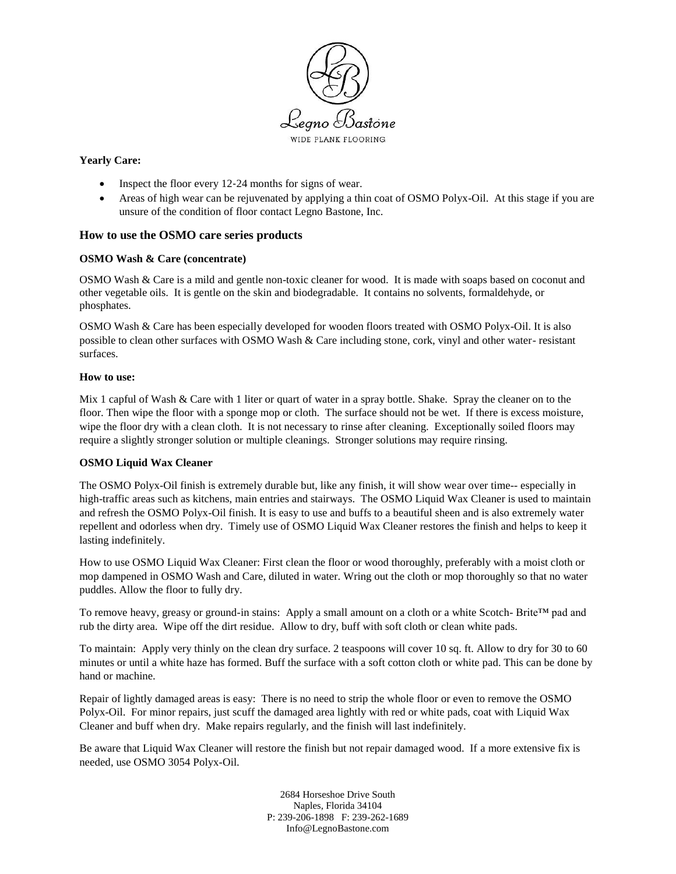

## **Yearly Care:**

- Inspect the floor every 12-24 months for signs of wear.
- Areas of high wear can be rejuvenated by applying a thin coat of OSMO Polyx-Oil. At this stage if you are unsure of the condition of floor contact Legno Bastone, Inc.

## **How to use the OSMO care series products**

## **OSMO Wash & Care (concentrate)**

OSMO Wash & Care is a mild and gentle non-toxic cleaner for wood. It is made with soaps based on coconut and other vegetable oils. It is gentle on the skin and biodegradable. It contains no solvents, formaldehyde, or phosphates.

OSMO Wash & Care has been especially developed for wooden floors treated with OSMO Polyx-Oil. It is also possible to clean other surfaces with OSMO Wash & Care including stone, cork, vinyl and other water- resistant surfaces.

## **How to use:**

Mix 1 capful of Wash & Care with 1 liter or quart of water in a spray bottle. Shake. Spray the cleaner on to the floor. Then wipe the floor with a sponge mop or cloth. The surface should not be wet. If there is excess moisture, wipe the floor dry with a clean cloth. It is not necessary to rinse after cleaning. Exceptionally soiled floors may require a slightly stronger solution or multiple cleanings. Stronger solutions may require rinsing.

## **OSMO Liquid Wax Cleaner**

The OSMO Polyx-Oil finish is extremely durable but, like any finish, it will show wear over time-- especially in high-traffic areas such as kitchens, main entries and stairways. The OSMO Liquid Wax Cleaner is used to maintain and refresh the OSMO Polyx-Oil finish. It is easy to use and buffs to a beautiful sheen and is also extremely water repellent and odorless when dry. Timely use of OSMO Liquid Wax Cleaner restores the finish and helps to keep it lasting indefinitely.

How to use OSMO Liquid Wax Cleaner: First clean the floor or wood thoroughly, preferably with a moist cloth or mop dampened in OSMO Wash and Care, diluted in water. Wring out the cloth or mop thoroughly so that no water puddles. Allow the floor to fully dry.

To remove heavy, greasy or ground-in stains: Apply a small amount on a cloth or a white Scotch- Brite™ pad and rub the dirty area. Wipe off the dirt residue. Allow to dry, buff with soft cloth or clean white pads.

To maintain: Apply very thinly on the clean dry surface. 2 teaspoons will cover 10 sq. ft. Allow to dry for 30 to 60 minutes or until a white haze has formed. Buff the surface with a soft cotton cloth or white pad. This can be done by hand or machine.

Repair of lightly damaged areas is easy: There is no need to strip the whole floor or even to remove the OSMO Polyx-Oil. For minor repairs, just scuff the damaged area lightly with red or white pads, coat with Liquid Wax Cleaner and buff when dry. Make repairs regularly, and the finish will last indefinitely.

Be aware that Liquid Wax Cleaner will restore the finish but not repair damaged wood. If a more extensive fix is needed, use OSMO 3054 Polyx-Oil.

> 2684 Horseshoe Drive South Naples, Florida 34104 P: 239-206-1898 F: 239-262-1689 Info@LegnoBastone.com